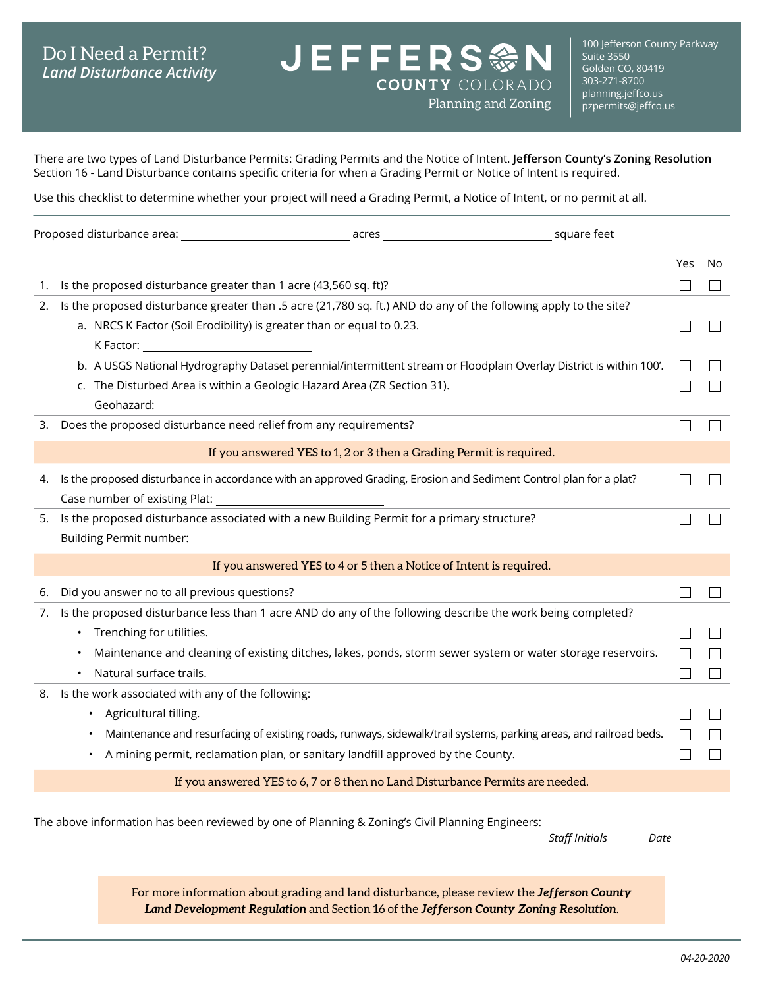## Do I Need a Permit? *Land Disturbance Activity*

100 Jefferson County Parkway Suite 3550 Golden CO, 80419 303-271-8700 [planning.jeffco.us](http://planning.jeffco.us)<br>pzpermits@jeffco.us

There are two types of Land Disturbance Permits: Grading Permits and the Notice of Intent. **[Jefferson County's Zoning Resolution](https://www.jeffco.us/2460/)** Section 16 - Land Disturbance contains specific criteria for when a Grading Permit or Notice of Intent is required.

**JEFFERS参N** 

Planning and Zoning

**COUNTY COLORADO** 

Use this checklist to determine whether your project will need a Grading Permit, a Notice of Intent, or no permit at all.

|    |                                                                                                                                                                                                                                        |                                                                                                                                                                                                                                                                                         |                                                                     |                               | Yes | No |
|----|----------------------------------------------------------------------------------------------------------------------------------------------------------------------------------------------------------------------------------------|-----------------------------------------------------------------------------------------------------------------------------------------------------------------------------------------------------------------------------------------------------------------------------------------|---------------------------------------------------------------------|-------------------------------|-----|----|
| 1. |                                                                                                                                                                                                                                        | Is the proposed disturbance greater than 1 acre (43,560 sq. ft)?                                                                                                                                                                                                                        |                                                                     |                               |     |    |
| 2. | Is the proposed disturbance greater than .5 acre (21,780 sq. ft.) AND do any of the following apply to the site?<br>a. NRCS K Factor (Soil Erodibility) is greater than or equal to 0.23.<br>K Factor: _______________________________ |                                                                                                                                                                                                                                                                                         |                                                                     |                               |     |    |
|    |                                                                                                                                                                                                                                        | b. A USGS National Hydrography Dataset perennial/intermittent stream or Floodplain Overlay District is within 100'.<br>c. The Disturbed Area is within a Geologic Hazard Area (ZR Section 31).                                                                                          |                                                                     |                               |     |    |
| 3. |                                                                                                                                                                                                                                        | Does the proposed disturbance need relief from any requirements?                                                                                                                                                                                                                        |                                                                     |                               |     |    |
|    |                                                                                                                                                                                                                                        |                                                                                                                                                                                                                                                                                         | If you answered YES to 1, 2 or 3 then a Grading Permit is required. |                               |     |    |
| 4. |                                                                                                                                                                                                                                        | Is the proposed disturbance in accordance with an approved Grading, Erosion and Sediment Control plan for a plat?                                                                                                                                                                       |                                                                     |                               |     |    |
| 5. |                                                                                                                                                                                                                                        | Is the proposed disturbance associated with a new Building Permit for a primary structure?                                                                                                                                                                                              |                                                                     |                               |     |    |
|    |                                                                                                                                                                                                                                        |                                                                                                                                                                                                                                                                                         | If you answered YES to 4 or 5 then a Notice of Intent is required.  |                               |     |    |
| 6. |                                                                                                                                                                                                                                        | Did you answer no to all previous questions?                                                                                                                                                                                                                                            |                                                                     |                               |     |    |
| 7. |                                                                                                                                                                                                                                        | Is the proposed disturbance less than 1 acre AND do any of the following describe the work being completed?<br>• Trenching for utilities.<br>Maintenance and cleaning of existing ditches, lakes, ponds, storm sewer system or water storage reservoirs.<br>Natural surface trails.     |                                                                     |                               |     |    |
|    | ٠.                                                                                                                                                                                                                                     | 8. Is the work associated with any of the following:<br>• Agricultural tilling.<br>Maintenance and resurfacing of existing roads, runways, sidewalk/trail systems, parking areas, and railroad beds.<br>A mining permit, reclamation plan, or sanitary landfill approved by the County. |                                                                     |                               |     |    |
|    |                                                                                                                                                                                                                                        | If you answered YES to 6, 7 or 8 then no Land Disturbance Permits are needed.                                                                                                                                                                                                           |                                                                     |                               |     |    |
|    |                                                                                                                                                                                                                                        | The above information has been reviewed by one of Planning & Zoning's Civil Planning Engineers:                                                                                                                                                                                         |                                                                     | <b>Staff Initials</b><br>Date |     |    |
|    |                                                                                                                                                                                                                                        | For more information about grading and land disturbance, please review the Jefferson County                                                                                                                                                                                             |                                                                     |                               |     |    |

*[Land Development Regulation](https://www.jeffco.us/2463/)* and Section 16 of the *[Jefferson County Zoning Resolution](https://www.jeffco.us/2460/)*.